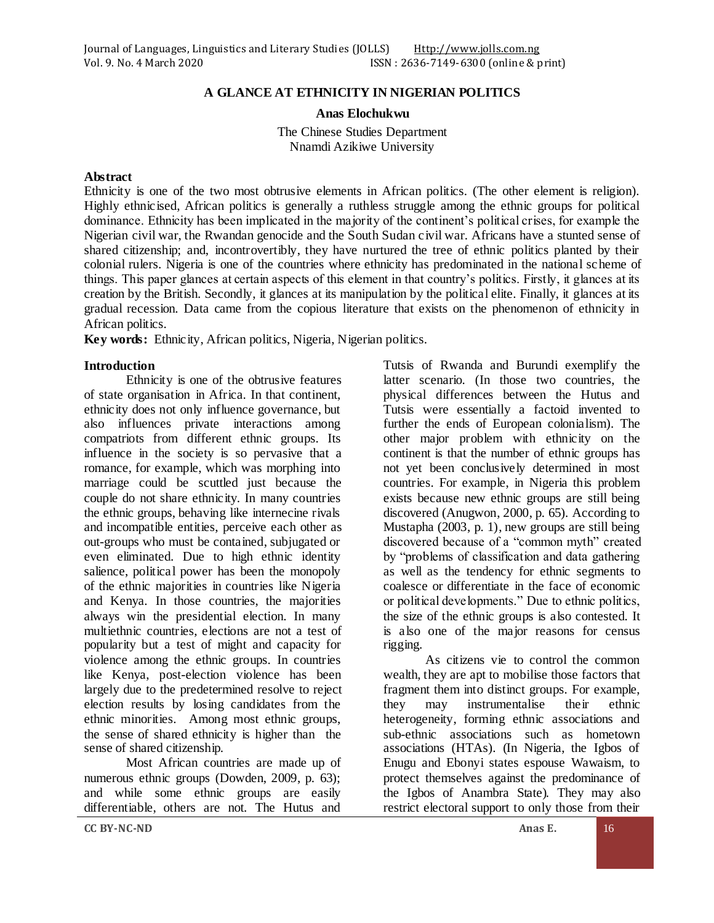### **A GLANCE AT ETHNICITY IN NIGERIAN POLITICS**

**Anas Elochukwu**

The Chinese Studies Department Nnamdi Azikiwe University

#### **Abstract**

Ethnicity is one of the two most obtrusive elements in African politics. (The other element is religion). Highly ethnicised, African politics is generally a ruthless struggle among the ethnic groups for political dominance. Ethnicity has been implicated in the majority of the continent's political crises, for example the Nigerian civil war, the Rwandan genocide and the South Sudan civil war. Africans have a stunted sense of shared citizenship; and, incontrovertibly, they have nurtured the tree of ethnic politics planted by their colonial rulers. Nigeria is one of the countries where ethnicity has predominated in the national scheme of things. This paper glances at certain aspects of this element in that country's politics. Firstly, it glances at its creation by the British. Secondly, it glances at its manipulation by the political elite. Finally, it glances at its gradual recession. Data came from the copious literature that exists on the phenomenon of ethnicity in African politics.

**Key words:** Ethnicity, African politics, Nigeria, Nigerian politics.

#### **Introduction**

Ethnicity is one of the obtrusive features of state organisation in Africa. In that continent, ethnicity does not only influence governance, but also influences private interactions among compatriots from different ethnic groups. Its influence in the society is so pervasive that a romance, for example, which was morphing into marriage could be scuttled just because the couple do not share ethnicity. In many countries the ethnic groups, behaving like internecine rivals and incompatible entities, perceive each other as out-groups who must be contained, subjugated or even eliminated. Due to high ethnic identity salience, political power has been the monopoly of the ethnic majorities in countries like Nigeria and Kenya. In those countries, the majorities always win the presidential election. In many multiethnic countries, elections are not a test of popularity but a test of might and capacity for violence among the ethnic groups. In countries like Kenya, post-election violence has been largely due to the predetermined resolve to reject election results by losing candidates from the ethnic minorities. Among most ethnic groups, the sense of shared ethnicity is higher than the sense of shared citizenship.

Most African countries are made up of numerous ethnic groups (Dowden, 2009, p. 63); and while some ethnic groups are easily differentiable, others are not. The Hutus and

Tutsis of Rwanda and Burundi exemplify the latter scenario. (In those two countries, the physical differences between the Hutus and Tutsis were essentially a factoid invented to further the ends of European colonialism). The other major problem with ethnicity on the continent is that the number of ethnic groups has not yet been conclusively determined in most countries. For example, in Nigeria this problem exists because new ethnic groups are still being discovered (Anugwon, 2000, p. 65). According to Mustapha (2003, p. 1), new groups are still being discovered because of a "common myth" created by "problems of classification and data gathering as well as the tendency for ethnic segments to coalesce or differentiate in the face of economic or political developments." Due to ethnic politics, the size of the ethnic groups is also contested. It is also one of the major reasons for census rigging.

As citizens vie to control the common wealth, they are apt to mobilise those factors that fragment them into distinct groups. For example, they may instrumentalise their ethnic heterogeneity, forming ethnic associations and sub-ethnic associations such as hometown associations (HTAs). (In Nigeria, the Igbos of Enugu and Ebonyi states espouse Wawaism, to protect themselves against the predominance of the Igbos of Anambra State). They may also restrict electoral support to only those from their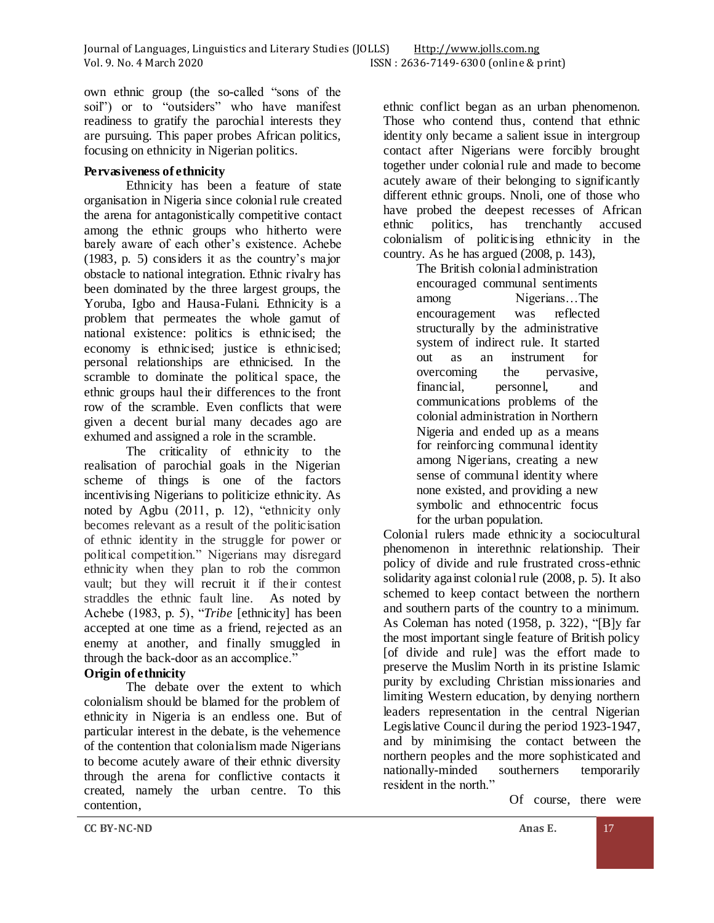own ethnic group (the so-called "sons of the soil") or to "outsiders" who have manifest readiness to gratify the parochial interests they are pursuing. This paper probes African politics, focusing on ethnicity in Nigerian politics.

## **Pervasiveness of ethnicity**

Ethnicity has been a feature of state organisation in Nigeria since colonial rule created the arena for antagonistically competitive contact among the ethnic groups who hitherto were barely aware of each other's existence. Achebe (1983, p. 5) considers it as the country's major obstacle to national integration. Ethnic rivalry has been dominated by the three largest groups, the Yoruba, Igbo and Hausa-Fulani. Ethnicity is a problem that permeates the whole gamut of national existence: politics is ethnicised; the economy is ethnicised; justice is ethnicised; personal relationships are ethnicised. In the scramble to dominate the political space, the ethnic groups haul their differences to the front row of the scramble. Even conflicts that were given a decent burial many decades ago are exhumed and assigned a role in the scramble.

The criticality of ethnicity to the realisation of parochial goals in the Nigerian scheme of things is one of the factors incentivising Nigerians to politicize ethnicity. As noted by Agbu (2011, p. 12), "ethnicity only becomes relevant as a result of the politicisation of ethnic identity in the struggle for power or political competition." Nigerians may disregard ethnicity when they plan to rob the common vault; but they will recruit it if their contest straddles the ethnic fault line. As noted by Achebe (1983, p. 5), "*Tribe* [ethnicity] has been accepted at one time as a friend, rejected as an enemy at another, and finally smuggled in through the back-door as an accomplice."

## **Origin of ethnicity**

The debate over the extent to which colonialism should be blamed for the problem of ethnicity in Nigeria is an endless one. But of particular interest in the debate, is the vehemence of the contention that colonialism made Nigerians to become acutely aware of their ethnic diversity through the arena for conflictive contacts it created, namely the urban centre. To this contention,

ethnic conflict began as an urban phenomenon. Those who contend thus, contend that ethnic identity only became a salient issue in intergroup contact after Nigerians were forcibly brought together under colonial rule and made to become acutely aware of their belonging to significantly different ethnic groups. Nnoli, one of those who have probed the deepest recesses of African<br>ethnic politics, has trenchantly accused ethnic politics, has trenchantly accused colonialism of politicising ethnicity in the country. As he has argued (2008, p. 143),

> The British colonial administration encouraged communal sentiments among Nigerians…The encouragement was reflected structurally by the administrative system of indirect rule. It started out as an instrument for overcoming the pervasive, financial, personnel, and communications problems of the colonial administration in Northern Nigeria and ended up as a means for reinforcing communal identity among Nigerians, creating a new sense of communal identity where none existed, and providing a new symbolic and ethnocentric focus for the urban population.

Colonial rulers made ethnicity a sociocultural phenomenon in interethnic relationship. Their policy of divide and rule frustrated cross-ethnic solidarity against colonial rule (2008, p. 5). It also schemed to keep contact between the northern and southern parts of the country to a minimum. As Coleman has noted (1958, p. 322), "[B]y far the most important single feature of British policy [of divide and rule] was the effort made to preserve the Muslim North in its pristine Islamic purity by excluding Christian missionaries and limiting Western education, by denying northern leaders representation in the central Nigerian Legislative Council during the period 1923-1947, and by minimising the contact between the northern peoples and the more sophisticated and<br>nationally-minded southerners temporarily nationally-minded southerners temporarily resident in the north."

Of course, there were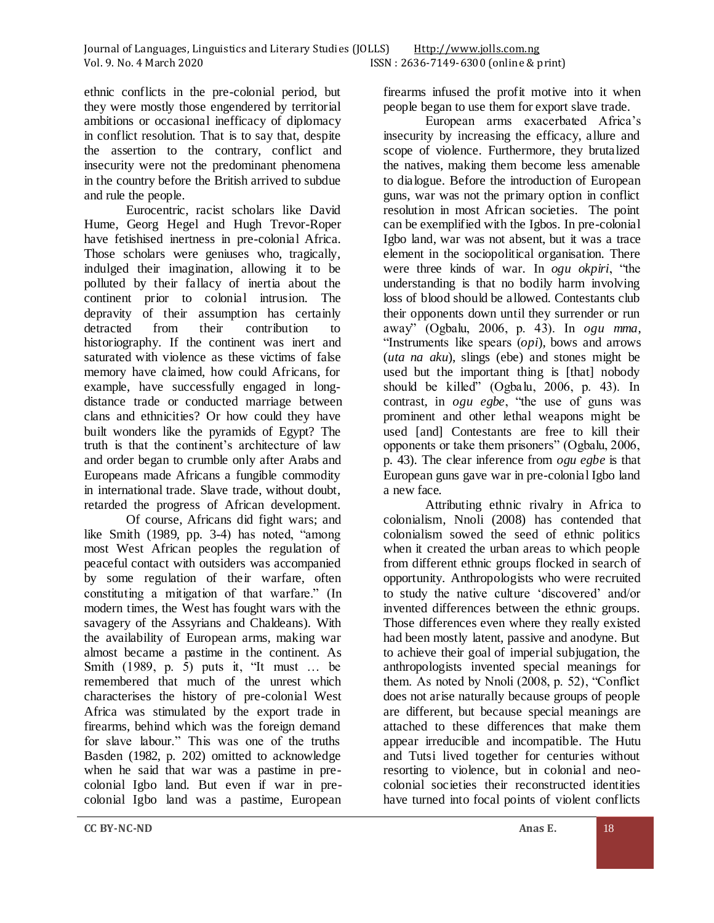ethnic conflicts in the pre-colonial period, but they were mostly those engendered by territorial ambitions or occasional inefficacy of diplomacy in conflict resolution. That is to say that, despite the assertion to the contrary, conflict and insecurity were not the predominant phenomena in the country before the British arrived to subdue and rule the people.

Eurocentric, racist scholars like David Hume, Georg Hegel and Hugh Trevor-Roper have fetishised inertness in pre-colonial Africa. Those scholars were geniuses who, tragically, indulged their imagination, allowing it to be polluted by their fallacy of inertia about the continent prior to colonial intrusion. The depravity of their assumption has certainly detracted from their contribution to historiography. If the continent was inert and saturated with violence as these victims of false memory have claimed, how could Africans, for example, have successfully engaged in longdistance trade or conducted marriage between clans and ethnicities? Or how could they have built wonders like the pyramids of Egypt? The truth is that the continent's architecture of law and order began to crumble only after Arabs and Europeans made Africans a fungible commodity in international trade. Slave trade, without doubt, retarded the progress of African development.

Of course, Africans did fight wars; and like Smith (1989, pp. 3-4) has noted, "among most West African peoples the regulation of peaceful contact with outsiders was accompanied by some regulation of their warfare, often constituting a mitigation of that warfare." (In modern times, the West has fought wars with the savagery of the Assyrians and Chaldeans). With the availability of European arms, making war almost became a pastime in the continent. As Smith (1989, p. 5) puts it, "It must … be remembered that much of the unrest which characterises the history of pre-colonial West Africa was stimulated by the export trade in firearms, behind which was the foreign demand for slave labour." This was one of the truths Basden (1982, p. 202) omitted to acknowledge when he said that war was a pastime in precolonial Igbo land. But even if war in precolonial Igbo land was a pastime, European

firearms infused the profit motive into it when people began to use them for export slave trade.

European arms exacerbated Africa's insecurity by increasing the efficacy, allure and scope of violence. Furthermore, they brutalized the natives, making them become less amenable to dialogue. Before the introduction of European guns, war was not the primary option in conflict resolution in most African societies. The point can be exemplified with the Igbos. In pre-colonial Igbo land, war was not absent, but it was a trace element in the sociopolitical organisation. There were three kinds of war. In *ogu okpiri*, "the understanding is that no bodily harm involving loss of blood should be allowed. Contestants club their opponents down until they surrender or run away" (Ogbalu, 2006, p. 43). In *ogu mma*, "Instruments like spears (*opi*), bows and arrows (*uta na aku*), slings (ebe) and stones might be used but the important thing is [that] nobody should be killed" (Ogbalu, 2006, p. 43). In contrast, in *ogu egbe*, "the use of guns was prominent and other lethal weapons might be used [and] Contestants are free to kill their opponents or take them prisoners" (Ogbalu, 2006, p. 43). The clear inference from *ogu egbe* is that European guns gave war in pre-colonial Igbo land a new face.

Attributing ethnic rivalry in Africa to colonialism, Nnoli (2008) has contended that colonialism sowed the seed of ethnic politics when it created the urban areas to which people from different ethnic groups flocked in search of opportunity. Anthropologists who were recruited to study the native culture 'discovered' and/or invented differences between the ethnic groups. Those differences even where they really existed had been mostly latent, passive and anodyne. But to achieve their goal of imperial subjugation, the anthropologists invented special meanings for them. As noted by Nnoli (2008, p. 52), "Conflict does not arise naturally because groups of people are different, but because special meanings are attached to these differences that make them appear irreducible and incompatible. The Hutu and Tutsi lived together for centuries without resorting to violence, but in colonial and neocolonial societies their reconstructed identities have turned into focal points of violent conflicts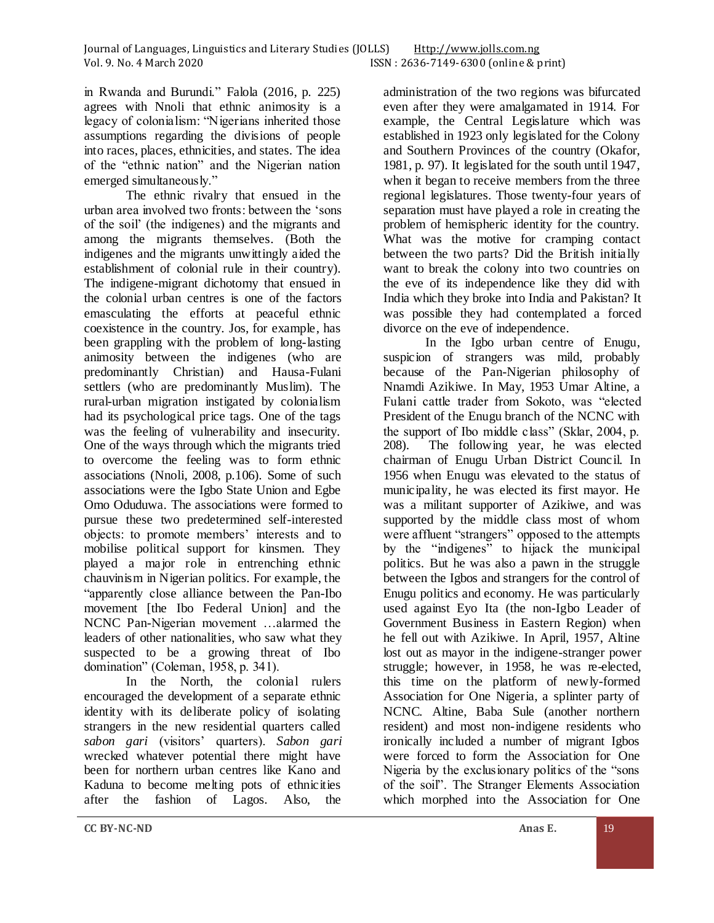in Rwanda and Burundi." Falola (2016, p. 225) agrees with Nnoli that ethnic animosity is a legacy of colonialism: "Nigerians inherited those assumptions regarding the divisions of people into races, places, ethnicities, and states. The idea of the "ethnic nation" and the Nigerian nation emerged simultaneously."

The ethnic rivalry that ensued in the urban area involved two fronts: between the 'sons of the soil' (the indigenes) and the migrants and among the migrants themselves. (Both the indigenes and the migrants unwittingly aided the establishment of colonial rule in their country). The indigene-migrant dichotomy that ensued in the colonial urban centres is one of the factors emasculating the efforts at peaceful ethnic coexistence in the country. Jos, for example, has been grappling with the problem of long-lasting animosity between the indigenes (who are predominantly Christian) and Hausa-Fulani settlers (who are predominantly Muslim). The rural-urban migration instigated by colonialism had its psychological price tags. One of the tags was the feeling of vulnerability and insecurity. One of the ways through which the migrants tried to overcome the feeling was to form ethnic associations (Nnoli, 2008, p.106). Some of such associations were the Igbo State Union and Egbe Omo Oduduwa. The associations were formed to pursue these two predetermined self-interested objects: to promote members' interests and to mobilise political support for kinsmen. They played a major role in entrenching ethnic chauvinism in Nigerian politics. For example, the "apparently close alliance between the Pan-Ibo movement [the Ibo Federal Union] and the NCNC Pan-Nigerian movement …alarmed the leaders of other nationalities, who saw what they suspected to be a growing threat of Ibo domination" (Coleman, 1958, p. 341).

In the North, the colonial rulers encouraged the development of a separate ethnic identity with its deliberate policy of isolating strangers in the new residential quarters called *sabon gari* (visitors' quarters). *Sabon gari* wrecked whatever potential there might have been for northern urban centres like Kano and Kaduna to become melting pots of ethnicities after the fashion of Lagos. Also, the

administration of the two regions was bifurcated even after they were amalgamated in 1914. For example, the Central Legislature which was established in 1923 only legislated for the Colony and Southern Provinces of the country (Okafor, 1981, p. 97). It legislated for the south until 1947, when it began to receive members from the three regional legislatures. Those twenty-four years of separation must have played a role in creating the problem of hemispheric identity for the country. What was the motive for cramping contact between the two parts? Did the British initially want to break the colony into two countries on the eve of its independence like they did with India which they broke into India and Pakistan? It was possible they had contemplated a forced divorce on the eve of independence.

In the Igbo urban centre of Enugu, suspicion of strangers was mild, probably because of the Pan-Nigerian philosophy of Nnamdi Azikiwe. In May, 1953 Umar Altine, a Fulani cattle trader from Sokoto, was "elected President of the Enugu branch of the NCNC with the support of Ibo middle class" (Sklar, 2004, p. 208). The following year, he was elected chairman of Enugu Urban District Council. In 1956 when Enugu was elevated to the status of municipality, he was elected its first mayor. He was a militant supporter of Azikiwe, and was supported by the middle class most of whom were affluent "strangers" opposed to the attempts by the "indigenes" to hijack the municipal politics. But he was also a pawn in the struggle between the Igbos and strangers for the control of Enugu politics and economy. He was particularly used against Eyo Ita (the non-Igbo Leader of Government Business in Eastern Region) when he fell out with Azikiwe. In April, 1957, Altine lost out as mayor in the indigene-stranger power struggle; however, in 1958, he was re-elected, this time on the platform of newly-formed Association for One Nigeria, a splinter party of NCNC. Altine, Baba Sule (another northern resident) and most non-indigene residents who ironically included a number of migrant Igbos were forced to form the Association for One Nigeria by the exclusionary politics of the "sons of the soil". The Stranger Elements Association which morphed into the Association for One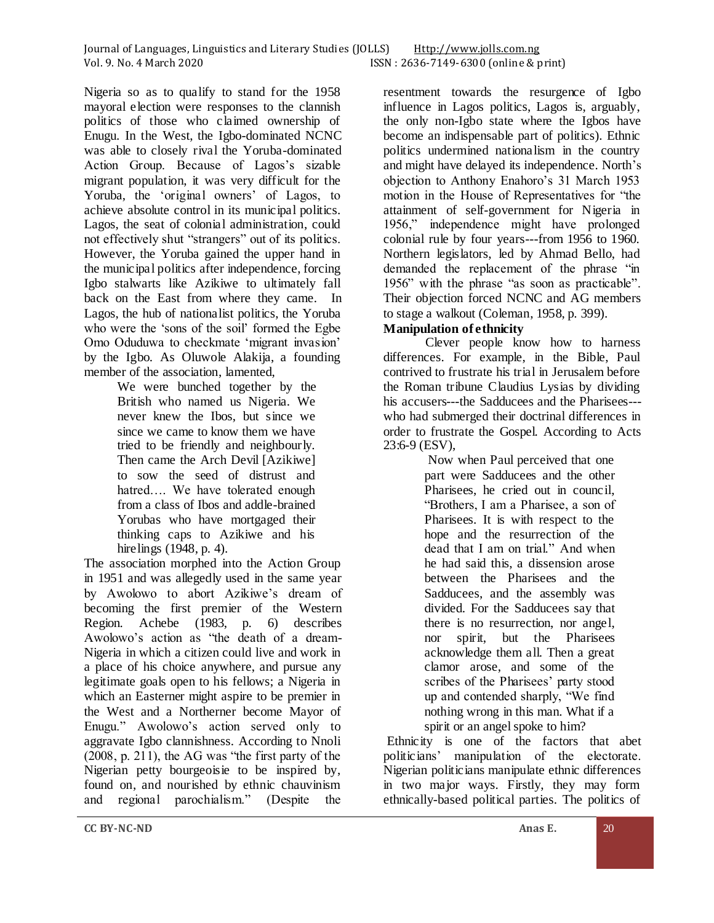Nigeria so as to qualify to stand for the 1958 mayoral election were responses to the clannish politics of those who claimed ownership of Enugu. In the West, the Igbo-dominated NCNC was able to closely rival the Yoruba-dominated Action Group. Because of Lagos's sizable migrant population, it was very difficult for the Yoruba, the 'original owners' of Lagos, to achieve absolute control in its municipal politics. Lagos, the seat of colonial administration, could not effectively shut "strangers" out of its politics. However, the Yoruba gained the upper hand in the municipal politics after independence, forcing Igbo stalwarts like Azikiwe to ultimately fall back on the East from where they came. In Lagos, the hub of nationalist politics, the Yoruba who were the 'sons of the soil' formed the Egbe Omo Oduduwa to checkmate 'migrant invasion' by the Igbo. As Oluwole Alakija, a founding member of the association, lamented,

We were bunched together by the British who named us Nigeria. We never knew the Ibos, but since we since we came to know them we have tried to be friendly and neighbourly. Then came the Arch Devil [Azikiwe] to sow the seed of distrust and hatred…. We have tolerated enough from a class of Ibos and addle-brained Yorubas who have mortgaged their thinking caps to Azikiwe and his hirelings (1948, p. 4).

The association morphed into the Action Group in 1951 and was allegedly used in the same year by Awolowo to abort Azikiwe's dream of becoming the first premier of the Western Region. Achebe (1983, p. 6) describes Awolowo's action as "the death of a dream-Nigeria in which a citizen could live and work in a place of his choice anywhere, and pursue any legitimate goals open to his fellows; a Nigeria in which an Easterner might aspire to be premier in the West and a Northerner become Mayor of Enugu." Awolowo's action served only to aggravate Igbo clannishness. According to Nnoli (2008, p. 211), the AG was "the first party of the Nigerian petty bourgeoisie to be inspired by, found on, and nourished by ethnic chauvinism and regional parochialism." (Despite the

resentment towards the resurgence of Igbo influence in Lagos politics, Lagos is, arguably, the only non-Igbo state where the Igbos have become an indispensable part of politics). Ethnic politics undermined nationalism in the country and might have delayed its independence. North's objection to Anthony Enahoro's 31 March 1953 motion in the House of Representatives for "the attainment of self-government for Nigeria in 1956," independence might have prolonged colonial rule by four years---from 1956 to 1960. Northern legislators, led by Ahmad Bello, had demanded the replacement of the phrase "in 1956" with the phrase "as soon as practicable". Their objection forced NCNC and AG members to stage a walkout (Coleman, 1958, p. 399).

# **Manipulation of ethnicity**

Clever people know how to harness differences. For example, in the Bible, Paul contrived to frustrate his trial in Jerusalem before the Roman tribune Claudius Lysias by dividing his accusers---the Sadducees and the Pharisees-- who had submerged their doctrinal differences in order to frustrate the Gospel. According to Acts 23:6-9 (ESV),

Now when Paul perceived that one part were Sadducees and the other Pharisees, he cried out in council, "Brothers, I am a Pharisee, a son of Pharisees. It is with respect to the hope and the resurrection of the dead that I am on trial." And when he had said this, a dissension arose between the Pharisees and the Sadducees, and the assembly was divided. For the Sadducees say that there is no resurrection, nor angel, nor spirit, but the Pharisees acknowledge them all. Then a great clamor arose, and some of the scribes of the Pharisees' party stood up and contended sharply, "We find nothing wrong in this man. What if a spirit or an angel spoke to him?

Ethnicity is one of the factors that abet politicians' manipulation of the electorate. Nigerian politicians manipulate ethnic differences in two major ways. Firstly, they may form ethnically-based political parties. The politics of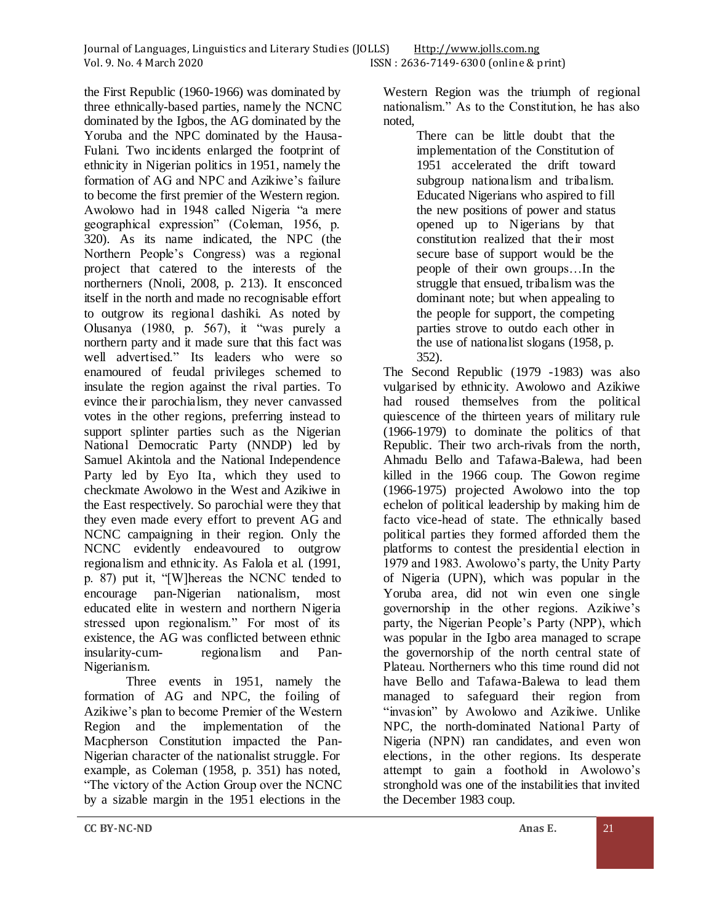the First Republic (1960-1966) was dominated by three ethnically-based parties, namely the NCNC dominated by the Igbos, the AG dominated by the Yoruba and the NPC dominated by the Hausa-Fulani. Two incidents enlarged the footprint of ethnicity in Nigerian politics in 1951, namely the formation of AG and NPC and Azikiwe's failure to become the first premier of the Western region. Awolowo had in 1948 called Nigeria "a mere geographical expression" (Coleman, 1956, p. 320). As its name indicated, the NPC (the Northern People's Congress) was a regional project that catered to the interests of the northerners (Nnoli, 2008, p. 213). It ensconced itself in the north and made no recognisable effort to outgrow its regional dashiki. As noted by Olusanya (1980, p. 567), it "was purely a northern party and it made sure that this fact was well advertised." Its leaders who were so enamoured of feudal privileges schemed to insulate the region against the rival parties. To evince their parochialism, they never canvassed votes in the other regions, preferring instead to support splinter parties such as the Nigerian National Democratic Party (NNDP) led by Samuel Akintola and the National Independence Party led by Eyo Ita, which they used to checkmate Awolowo in the West and Azikiwe in the East respectively. So parochial were they that they even made every effort to prevent AG and NCNC campaigning in their region. Only the NCNC evidently endeavoured to outgrow regionalism and ethnicity. As Falola et al. (1991, p. 87) put it, "[W]hereas the NCNC tended to encourage pan-Nigerian nationalism, most educated elite in western and northern Nigeria stressed upon regionalism." For most of its existence, the AG was conflicted between ethnic insularity-cum- regionalism and Pan-Nigerianism.

Three events in 1951, namely the formation of AG and NPC, the foiling of Azikiwe's plan to become Premier of the Western Region and the implementation of the Macpherson Constitution impacted the Pan-Nigerian character of the nationalist struggle. For example, as Coleman (1958, p. 351) has noted, "The victory of the Action Group over the NCNC by a sizable margin in the 1951 elections in the

Western Region was the triumph of regional nationalism." As to the Constitution, he has also noted,

There can be little doubt that the implementation of the Constitution of 1951 accelerated the drift toward subgroup nationalism and tribalism. Educated Nigerians who aspired to fill the new positions of power and status opened up to Nigerians by that constitution realized that their most secure base of support would be the people of their own groups…In the struggle that ensued, tribalism was the dominant note; but when appealing to the people for support, the competing parties strove to outdo each other in the use of nationalist slogans (1958, p. 352).

The Second Republic (1979 -1983) was also vulgarised by ethnicity. Awolowo and Azikiwe had roused themselves from the political quiescence of the thirteen years of military rule (1966-1979) to dominate the politics of that Republic. Their two arch-rivals from the north, Ahmadu Bello and Tafawa-Balewa, had been killed in the 1966 coup. The Gowon regime (1966-1975) projected Awolowo into the top echelon of political leadership by making him de facto vice-head of state. The ethnically based political parties they formed afforded them the platforms to contest the presidential election in 1979 and 1983. Awolowo's party, the Unity Party of Nigeria (UPN), which was popular in the Yoruba area, did not win even one single governorship in the other regions. Azikiwe's party, the Nigerian People's Party (NPP), which was popular in the Igbo area managed to scrape the governorship of the north central state of Plateau. Northerners who this time round did not have Bello and Tafawa-Balewa to lead them managed to safeguard their region from "invasion" by Awolowo and Azikiwe. Unlike NPC, the north-dominated National Party of Nigeria (NPN) ran candidates, and even won elections, in the other regions. Its desperate attempt to gain a foothold in Awolowo's stronghold was one of the instabilities that invited the December 1983 coup.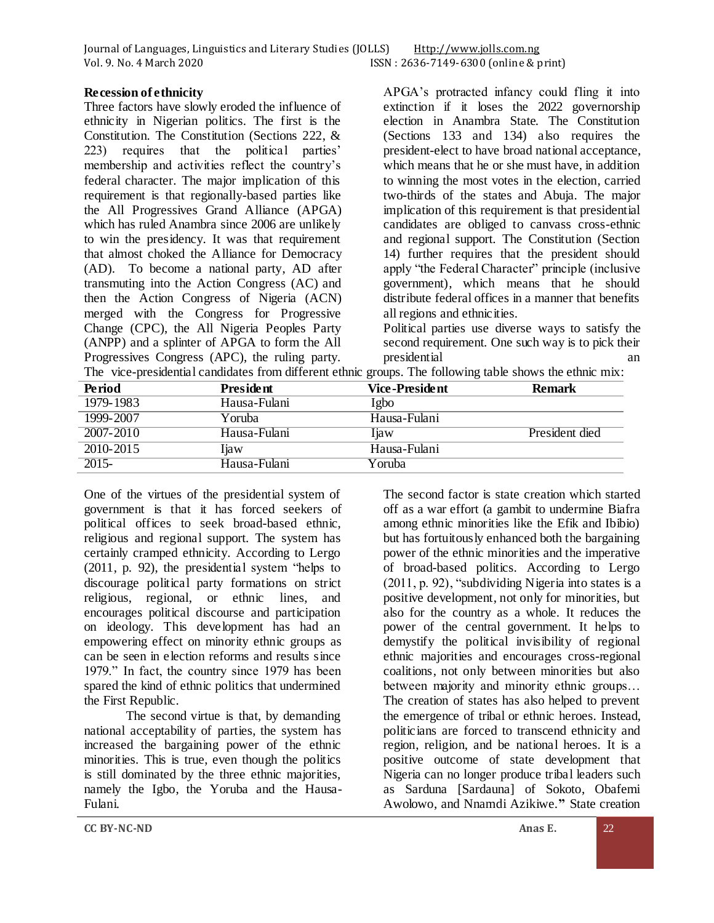| Journal of Languages, Linguistics and Literary Studies (JOLLS) | <u>Http://www.jolls.com.ng</u> |                                       |
|----------------------------------------------------------------|--------------------------------|---------------------------------------|
| Vol. 9. No. 4 March 2020                                       |                                | ISSN: 2636-7149-6300 (online & print) |

### **Recession of ethnicity**

Three factors have slowly eroded the influence of ethnicity in Nigerian politics. The first is the Constitution. The Constitution (Sections 222, & 223) requires that the political parties' membership and activities reflect the country's federal character. The major implication of this requirement is that regionally-based parties like the All Progressives Grand Alliance (APGA) which has ruled Anambra since 2006 are unlikely to win the presidency. It was that requirement that almost choked the Alliance for Democracy (AD). To become a national party, AD after transmuting into the Action Congress (AC) and then the Action Congress of Nigeria (ACN) merged with the Congress for Progressive Change (CPC), the All Nigeria Peoples Party (ANPP) and a splinter of APGA to form the All Progressives Congress (APC), the ruling party.

APGA's protracted infancy could fling it into extinction if it loses the 2022 governorship election in Anambra State. The Constitution (Sections 133 and 134) also requires the president-elect to have broad national acceptance, which means that he or she must have, in addition to winning the most votes in the election, carried two-thirds of the states and Abuja. The major implication of this requirement is that presidential candidates are obliged to canvass cross-ethnic and regional support. The Constitution (Section 14) further requires that the president should apply "the Federal Character" principle (inclusive government), which means that he should distribute federal offices in a manner that benefits all regions and ethnicities.

Political parties use diverse ways to satisfy the second requirement. One such way is to pick their presidential and an analysis and an analysis and an analysis and an analysis and an analysis and an analysis and an analysis and an analysis and an analysis and an analysis and an analysis and an analysis and an analysis a

|  |  |  | The vice-presidential candidates from different ethnic groups. The following table shows the ethnic mix: |
|--|--|--|----------------------------------------------------------------------------------------------------------|

| <b>Period</b> | <b>President</b> | Vice - Preside nt | <b>Remark</b>  |
|---------------|------------------|-------------------|----------------|
| 1979-1983     | Hausa-Fulani     | Igbo              |                |
| 1999-2007     | Yoruba           | Hausa-Fulani      |                |
| 2007-2010     | Hausa-Fulani     | <b>T</b> iaw      | President died |
| 2010-2015     | Iiaw             | Hausa-Fulani      |                |
| 2015-         | Hausa-Fulani     | Yoruba            |                |

One of the virtues of the presidential system of government is that it has forced seekers of political offices to seek broad-based ethnic, religious and regional support. The system has certainly cramped ethnicity. According to Lergo (2011, p. 92), the presidential system "helps to discourage political party formations on strict religious, regional, or ethnic lines, and encourages political discourse and participation on ideology. This development has had an empowering effect on minority ethnic groups as can be seen in election reforms and results since 1979." In fact, the country since 1979 has been spared the kind of ethnic politics that undermined the First Republic.

The second virtue is that, by demanding national acceptability of parties, the system has increased the bargaining power of the ethnic minorities. This is true, even though the politics is still dominated by the three ethnic majorities, namely the Igbo, the Yoruba and the Hausa-Fulani.

The second factor is state creation which started off as a war effort (a gambit to undermine Biafra among ethnic minorities like the Efik and Ibibio) but has fortuitously enhanced both the bargaining power of the ethnic minorities and the imperative of broad-based politics. According to Lergo (2011, p. 92), "subdividing Nigeria into states is a positive development, not only for minorities, but also for the country as a whole. It reduces the power of the central government. It helps to demystify the political invisibility of regional ethnic majorities and encourages cross-regional coalitions, not only between minorities but also between majority and minority ethnic groups… The creation of states has also helped to prevent the emergence of tribal or ethnic heroes. Instead, politicians are forced to transcend ethnicity and region, religion, and be national heroes. It is a positive outcome of state development that Nigeria can no longer produce tribal leaders such as Sarduna [Sardauna] of Sokoto, Obafemi Awolowo, and Nnamdi Azikiwe.**"** State creation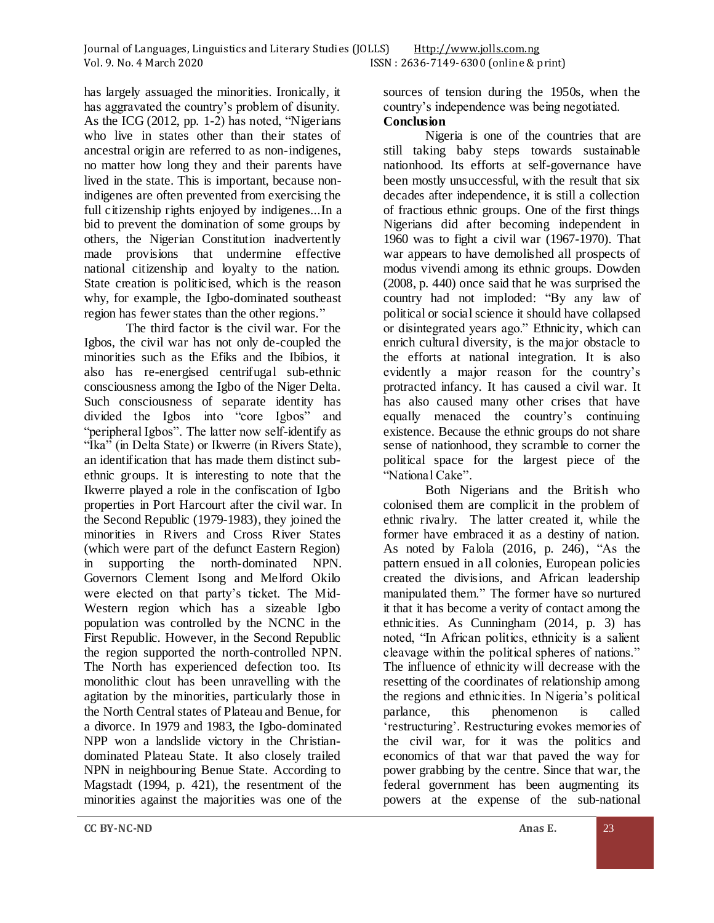has largely assuaged the minorities. Ironically, it has aggravated the country's problem of disunity. As the ICG (2012, pp. 1-2) has noted, "Nigerians who live in states other than their states of ancestral origin are referred to as non-indigenes, no matter how long they and their parents have lived in the state. This is important, because nonindigenes are often prevented from exercising the full citizenship rights enjoyed by indigenes...In a bid to prevent the domination of some groups by others, the Nigerian Constitution inadvertently made provisions that undermine effective national citizenship and loyalty to the nation. State creation is politicised, which is the reason why, for example, the Igbo-dominated southeast region has fewer states than the other regions."

The third factor is the civil war. For the Igbos, the civil war has not only de-coupled the minorities such as the Efiks and the Ibibios, it also has re-energised centrifugal sub-ethnic consciousness among the Igbo of the Niger Delta. Such consciousness of separate identity has divided the Igbos into "core Igbos" and "peripheral Igbos". The latter now self-identify as "Ika" (in Delta State) or Ikwerre (in Rivers State), an identification that has made them distinct subethnic groups. It is interesting to note that the Ikwerre played a role in the confiscation of Igbo properties in Port Harcourt after the civil war. In the Second Republic (1979-1983), they joined the minorities in Rivers and Cross River States (which were part of the defunct Eastern Region) in supporting the north-dominated NPN. Governors Clement Isong and Melford Okilo were elected on that party's ticket. The Mid-Western region which has a sizeable Igbo population was controlled by the NCNC in the First Republic. However, in the Second Republic the region supported the north-controlled NPN. The North has experienced defection too. Its monolithic clout has been unravelling with the agitation by the minorities, particularly those in the North Central states of Plateau and Benue, for a divorce. In 1979 and 1983, the Igbo-dominated NPP won a landslide victory in the Christiandominated Plateau State. It also closely trailed NPN in neighbouring Benue State. According to Magstadt (1994, p. 421), the resentment of the minorities against the majorities was one of the

sources of tension during the 1950s, when the country's independence was being negotiated. **Conclusion**

Nigeria is one of the countries that are still taking baby steps towards sustainable nationhood. Its efforts at self-governance have been mostly unsuccessful, with the result that six decades after independence, it is still a collection of fractious ethnic groups. One of the first things Nigerians did after becoming independent in 1960 was to fight a civil war (1967-1970). That war appears to have demolished all prospects of modus vivendi among its ethnic groups. Dowden (2008, p. 440) once said that he was surprised the country had not imploded: "By any law of political or social science it should have collapsed or disintegrated years ago." Ethnicity, which can enrich cultural diversity, is the major obstacle to the efforts at national integration. It is also evidently a major reason for the country's protracted infancy. It has caused a civil war. It has also caused many other crises that have equally menaced the country's continuing existence. Because the ethnic groups do not share sense of nationhood, they scramble to corner the political space for the largest piece of the "National Cake".

Both Nigerians and the British who colonised them are complicit in the problem of ethnic rivalry. The latter created it, while the former have embraced it as a destiny of nation. As noted by Falola (2016, p. 246), "As the pattern ensued in all colonies, European policies created the divisions, and African leadership manipulated them." The former have so nurtured it that it has become a verity of contact among the ethnicities. As Cunningham (2014, p. 3) has noted, "In African politics, ethnicity is a salient cleavage within the political spheres of nations." The influence of ethnicity will decrease with the resetting of the coordinates of relationship among the regions and ethnicities. In Nigeria's political parlance, this phenomenon is called 'restructuring'. Restructuring evokes memories of the civil war, for it was the politics and economics of that war that paved the way for power grabbing by the centre. Since that war, the federal government has been augmenting its powers at the expense of the sub-national